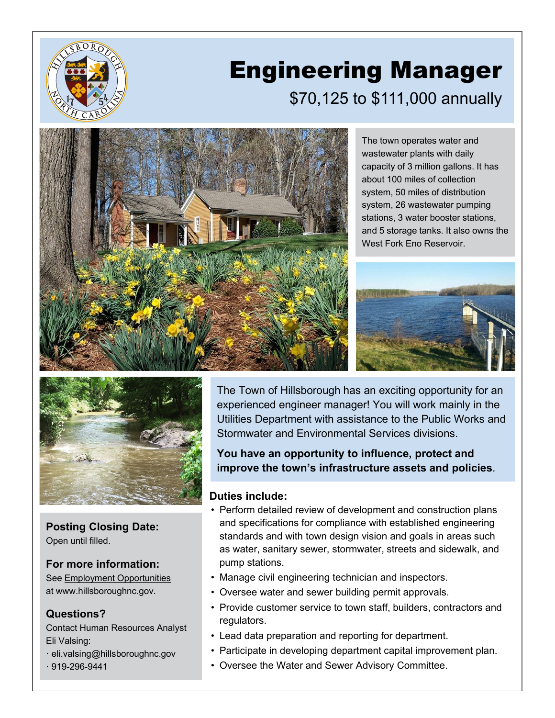

# Engineering Manager \$70,125 to \$111,000 annually



The town operates water and wastewater plants with daily capacity of 3 million gallons. It has about 100 miles of collection system, 50 miles of distribution system, 26 wastewater pumping stations, 3 water booster stations, and 5 storage tanks. It also owns the West Fork Eno Reservoir.





**Posting Closing Date:** Open until filled.

## **For more information:**

See [Employment Opportunities](https://www.hillsboroughnc.gov/government/divisions-and-offices/human-resources/employment-opportunities/) at www.hillsboroughnc.gov.

## **Questions?**

Contact Human Resources Analyst Eli Valsing:

· eli.valsing@hillsboroughnc.gov  $.919 - 296 - 9441$ 

The Town of Hillsborough has an exciting opportunity for an experienced engineer manager! You will work mainly in the Utilities Department with assistance to the Public Works and Stormwater and Environmental Services divisions.

**You have an opportunity to influence, protect and improve the town's infrastructure assets and policies**.

## **Duties include:**

- Perform detailed review of development and construction plans and specifications for compliance with established engineering standards and with town design vision and goals in areas such as water, sanitary sewer, stormwater, streets and sidewalk, and pump stations.
- Manage civil engineering technician and inspectors.
- Oversee water and sewer building permit approvals.
- Provide customer service to town staff, builders, contractors and regulators.
- Lead data preparation and reporting for department.
- Participate in developing department capital improvement plan.
- Oversee the Water and Sewer Advisory Committee.